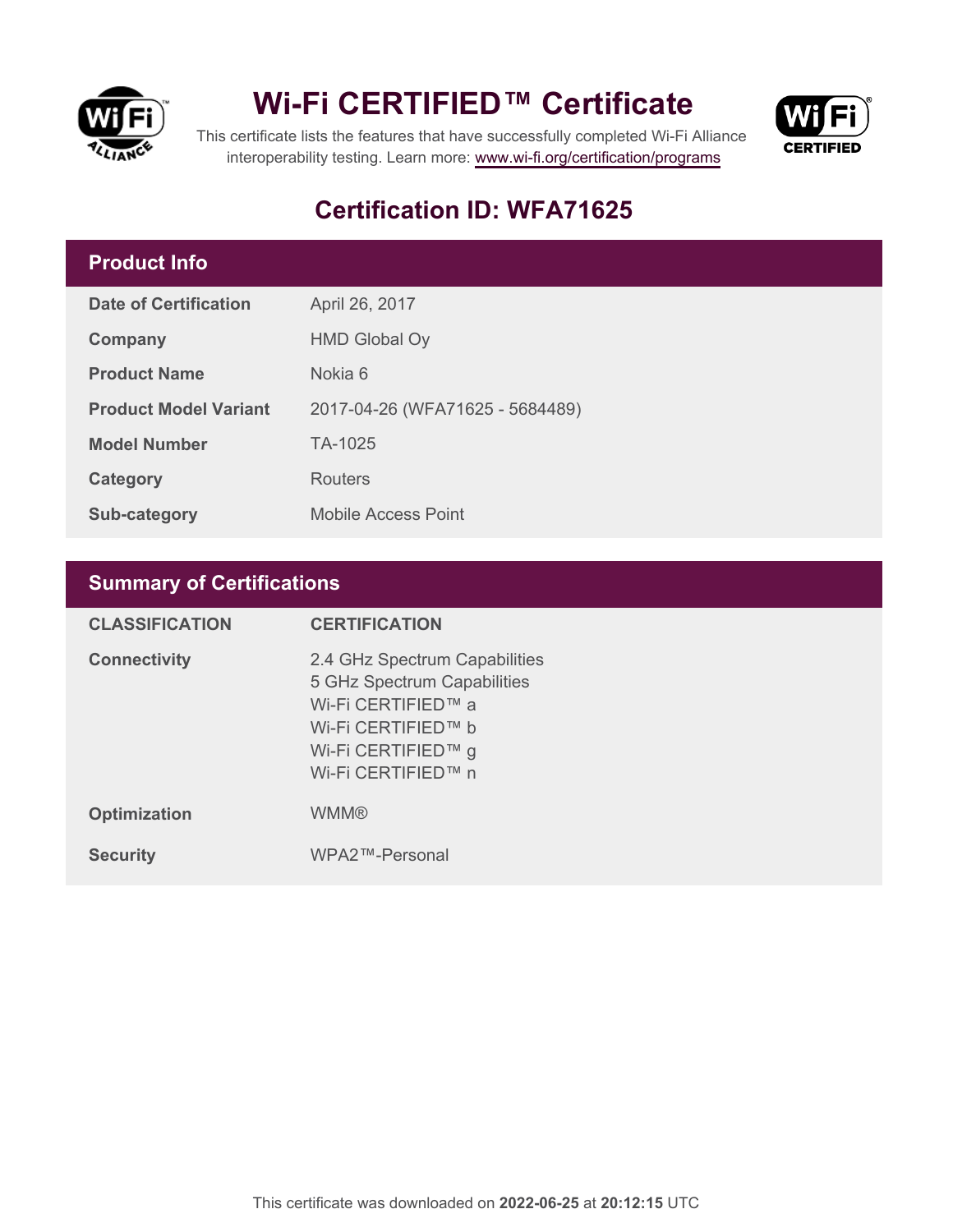

## **Wi-Fi CERTIFIED™ Certificate**



This certificate lists the features that have successfully completed Wi-Fi Alliance interoperability testing. Learn more:<www.wi-fi.org/certification/programs>

## **Certification ID: WFA71625**

### **Product Info**

| <b>Date of Certification</b> | April 26, 2017                  |
|------------------------------|---------------------------------|
| Company                      | <b>HMD Global Oy</b>            |
| <b>Product Name</b>          | Nokia 6                         |
| <b>Product Model Variant</b> | 2017-04-26 (WFA71625 - 5684489) |
| <b>Model Number</b>          | TA-1025                         |
| Category                     | Routers                         |
| Sub-category                 | <b>Mobile Access Point</b>      |

## **Summary of Certifications**

| <b>CLASSIFICATION</b> | <b>CERTIFICATION</b>                                                                                                                                 |
|-----------------------|------------------------------------------------------------------------------------------------------------------------------------------------------|
| <b>Connectivity</b>   | 2.4 GHz Spectrum Capabilities<br>5 GHz Spectrum Capabilities<br>Wi-Fi CERTIFIED™ a<br>Wi-Fi CERTIFIED™ b<br>Wi-Fi CERTIFIED™ g<br>Wi-Fi CERTIFIED™ n |
| <b>Optimization</b>   | <b>WMM®</b>                                                                                                                                          |
| <b>Security</b>       | WPA2™-Personal                                                                                                                                       |